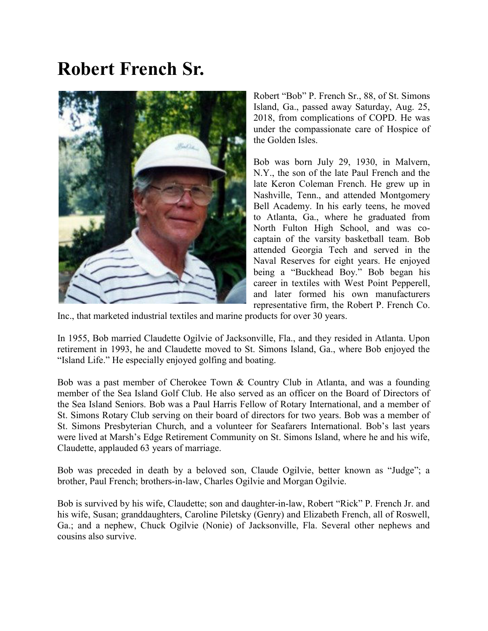## Robert French Sr.



Robert "Bob" P. French Sr., 88, of St. Simons Island, Ga., passed away Saturday, Aug. 25, 2018, from complications of COPD. He was under the compassionate care of Hospice of the Golden Isles.

Bob was born July 29, 1930, in Malvern, N.Y., the son of the late Paul French and the late Keron Coleman French. He grew up in Nashville, Tenn., and attended Montgomery Bell Academy. In his early teens, he moved to Atlanta, Ga., where he graduated from North Fulton High School, and was cocaptain of the varsity basketball team. Bob attended Georgia Tech and served in the Naval Reserves for eight years. He enjoyed being a "Buckhead Boy." Bob began his career in textiles with West Point Pepperell, and later formed his own manufacturers representative firm, the Robert P. French Co.

Inc., that marketed industrial textiles and marine products for over 30 years.

In 1955, Bob married Claudette Ogilvie of Jacksonville, Fla., and they resided in Atlanta. Upon retirement in 1993, he and Claudette moved to St. Simons Island, Ga., where Bob enjoyed the "Island Life." He especially enjoyed golfing and boating.

Bob was a past member of Cherokee Town & Country Club in Atlanta, and was a founding member of the Sea Island Golf Club. He also served as an officer on the Board of Directors of the Sea Island Seniors. Bob was a Paul Harris Fellow of Rotary International, and a member of St. Simons Rotary Club serving on their board of directors for two years. Bob was a member of St. Simons Presbyterian Church, and a volunteer for Seafarers International. Bob's last years were lived at Marsh's Edge Retirement Community on St. Simons Island, where he and his wife, Claudette, applauded 63 years of marriage.

Bob was preceded in death by a beloved son, Claude Ogilvie, better known as "Judge"; a brother, Paul French; brothers-in-law, Charles Ogilvie and Morgan Ogilvie.

Bob is survived by his wife, Claudette; son and daughter-in-law, Robert "Rick" P. French Jr. and his wife, Susan; granddaughters, Caroline Piletsky (Genry) and Elizabeth French, all of Roswell, Ga.; and a nephew, Chuck Ogilvie (Nonie) of Jacksonville, Fla. Several other nephews and cousins also survive.